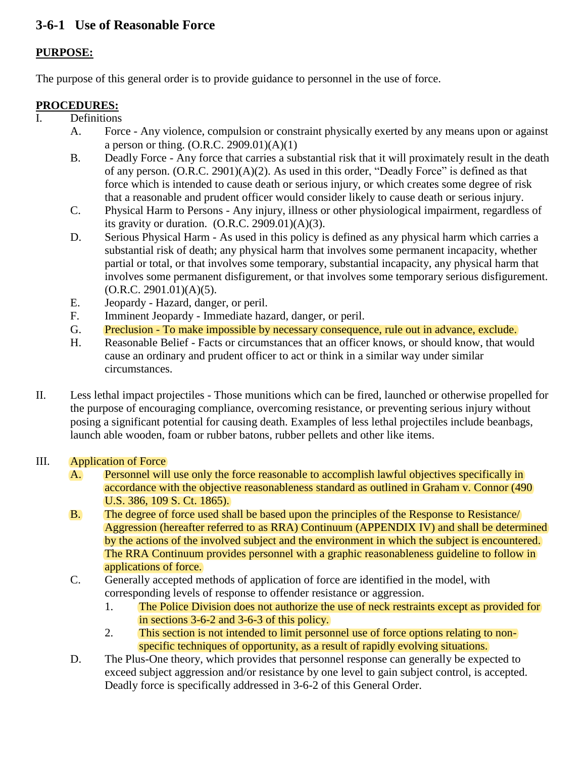# **3-6-1 Use of Reasonable Force**

## **PURPOSE:**

The purpose of this general order is to provide guidance to personnel in the use of force.

### **PROCEDURES:**

- Definitions
	- A. Force Any violence, compulsion or constraint physically exerted by any means upon or against a person or thing.  $(O.R.C. 2909.01)(A)(1)$
	- B. Deadly Force Any force that carries a substantial risk that it will proximately result in the death of any person. (O.R.C. 2901)(A)(2). As used in this order, "Deadly Force" is defined as that force which is intended to cause death or serious injury, or which creates some degree of risk that a reasonable and prudent officer would consider likely to cause death or serious injury.
	- C. Physical Harm to Persons Any injury, illness or other physiological impairment, regardless of its gravity or duration. (O.R.C. 2909.01)(A)(3).
	- D. Serious Physical Harm As used in this policy is defined as any physical harm which carries a substantial risk of death; any physical harm that involves some permanent incapacity, whether partial or total, or that involves some temporary, substantial incapacity, any physical harm that involves some permanent disfigurement, or that involves some temporary serious disfigurement.  $(O.R.C. 2901.01)(A)(5)$ .
	- E. Jeopardy Hazard, danger, or peril.
	- F. Imminent Jeopardy Immediate hazard, danger, or peril.
	- G. Preclusion To make impossible by necessary consequence, rule out in advance, exclude.
	- H. Reasonable Belief Facts or circumstances that an officer knows, or should know, that would cause an ordinary and prudent officer to act or think in a similar way under similar circumstances.
- II. Less lethal impact projectiles Those munitions which can be fired, launched or otherwise propelled for the purpose of encouraging compliance, overcoming resistance, or preventing serious injury without posing a significant potential for causing death. Examples of less lethal projectiles include beanbags, launch able wooden, foam or rubber batons, rubber pellets and other like items.

#### III. Application of Force

- A. Personnel will use only the force reasonable to accomplish lawful objectives specifically in accordance with the objective reasonableness standard as outlined in Graham v. Connor (490 U.S. 386, 109 S. Ct. 1865).
- B. The degree of force used shall be based upon the principles of the Response to Resistance/ Aggression (hereafter referred to as RRA) Continuum (APPENDIX IV) and shall be determined by the actions of the involved subject and the environment in which the subject is encountered. The RRA Continuum provides personnel with a graphic reasonableness guideline to follow in applications of force.
- C. Generally accepted methods of application of force are identified in the model, with corresponding levels of response to offender resistance or aggression.
	- 1. The Police Division does not authorize the use of neck restraints except as provided for in sections 3-6-2 and 3-6-3 of this policy.
	- 2. This section is not intended to limit personnel use of force options relating to nonspecific techniques of opportunity, as a result of rapidly evolving situations.
- D. The Plus-One theory, which provides that personnel response can generally be expected to exceed subject aggression and/or resistance by one level to gain subject control, is accepted. Deadly force is specifically addressed in 3-6-2 of this General Order.